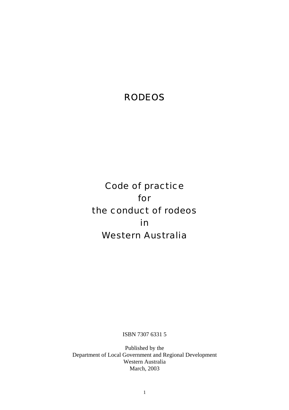# RODEOS

Code of practice for the conduct of rodeos in Western Australia

ISBN 7307 6331 5

Published by the Department of Local Government and Regional Development Western Australia March, 2003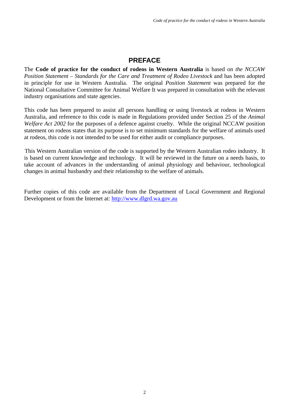# **PREFACE**

The **Code of practice for the conduct of rodeos in Western Australia** is based on *the NCCAW Position Statement – Standards for the Care and Treatment of Rodeo Livestock* and has been adopted in principle for use in Western Australia. The original *Position Statement* was prepared for the National Consultative Committee for Animal Welfare It was prepared in consultation with the relevant industry organisations and state agencies.

This code has been prepared to assist all persons handling or using livestock at rodeos in Western Australia, and reference to this code is made in Regulations provided under Section 25 of the *Animal Welfare Act 2002* for the purposes of a defence against cruelty. While the original NCCAW position statement on rodeos states that its purpose is to set minimum standards for the welfare of animals used at rodeos, this code is not intended to be used for either audit or compliance purposes.

This Western Australian version of the code is supported by the Western Australian rodeo industry. It is based on current knowledge and technology. It will be reviewed in the future on a needs basis, to take account of advances in the understanding of animal physiology and behaviour, technological changes in animal husbandry and their relationship to the welfare of animals.

Further copies of this code are available from the Department of Local Government and Regional Development or from the Internet at: http://www.dlgrd.wa.gov.au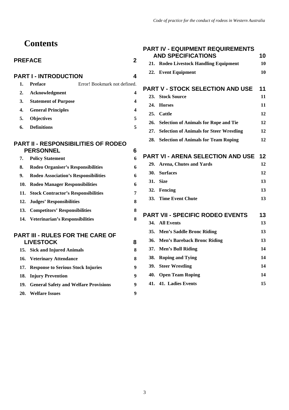# **Contents**

# PREFACE 2

| <b>PART I - INTRODUCTION</b> |                             |                              |  |  |
|------------------------------|-----------------------------|------------------------------|--|--|
| 1.                           | <b>Preface</b>              | Error! Bookmark not defined. |  |  |
| 2.                           | Acknowledgment              |                              |  |  |
| 3.                           | <b>Statement of Purpose</b> |                              |  |  |
| 4.                           | <b>General Principles</b>   |                              |  |  |
| 5.                           | <b>Objectives</b>           | 5                            |  |  |
| 6.                           | <b>Definitions</b>          |                              |  |  |
|                              |                             |                              |  |  |

#### **PART II - RESPONSIBILITIES OF RODEO PERSONNEL 6**

| 7. | <b>Policy Statement</b>                     | 6 |
|----|---------------------------------------------|---|
| 8. | <b>Rodeo Organiser's Responsibilities</b>   | 6 |
| 9. | <b>Rodeo Association's Responsibilities</b> | 6 |
|    | 10. Rodeo Manager Responsibilities          | 6 |
|    | 11. Stock Contractor's Responsibilities     | 7 |
|    | 12. Judges' Responsibilities                | 8 |
|    | 13. Competitors' Responsibilities           | 8 |
|    | 14. Veterinarian's Responsibilities         | 8 |

# **PART III - RULES FOR THE CARE OF LIVESTOCK 8**

| 15. Sick and Injured Animals              |   |
|-------------------------------------------|---|
| 16. Veterinary Attendance                 | 8 |
| 17. Response to Serious Stock Injuries    | 9 |
| 18. Injury Prevention                     | 9 |
| 19. General Safety and Welfare Provisions | 9 |
| 20. Welfare Issues                        | 9 |

|            | <b>PART IV - EQUIPMENT REQUIREMENTS</b><br><b>AND SPECIFICATIONS</b> | 10 |
|------------|----------------------------------------------------------------------|----|
| 21.        | <b>Rodeo Livestock Handling Equipment</b>                            | 10 |
|            | 22. Event Equipment                                                  | 10 |
|            | <b>PART V - STOCK SELECTION AND USE</b>                              | 11 |
| 23.        | <b>Stock Source</b>                                                  | 11 |
| 24.        | <b>Horses</b>                                                        | 11 |
|            | 25. Cattle                                                           | 12 |
|            | 26. Selection of Animals for Rope and Tie                            | 12 |
|            | 27. Selection of Animals for Steer Wrestling                         | 12 |
|            | 28. Selection of Animals for Team Roping                             | 12 |
|            | <b>PART VI - ARENA SELECTION AND USE</b>                             | 12 |
|            | 29. Arena, Chutes and Yards                                          | 12 |
| <b>30.</b> | <b>Surfaces</b>                                                      | 12 |
|            | 31. Size                                                             | 13 |
|            | 32. Fencing                                                          | 13 |
|            | 33. Time Event Chute                                                 | 13 |
|            | <b>PART VII - SPECIFIC RODEO EVENTS</b>                              | 13 |
|            | 34. All Events                                                       | 13 |
|            | 35. Men's Saddle Bronc Riding                                        | 13 |
|            |                                                                      |    |

| 36. Men's Bareback Bronc Riding | 13 |
|---------------------------------|----|
| 37. Men's Bull Riding           | 14 |
| 38. Roping and Tying            | 14 |
| 39. Steer Wrestling             | 14 |
| 40. Open Team Roping            | 14 |

# **41. 41. Ladies Events 15**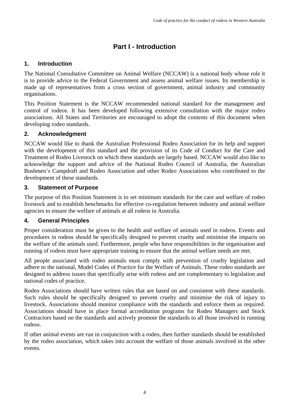# **Part I - Introduction**

# **1. Introduction**

The National Consultative Committee on Animal Welfare (NCCAW) is a national body whose role it is to provide advice to the Federal Government and assess animal welfare issues. Its membership is made up of representatives from a cross section of government, animal industry and community organisations.

This Position Statement is the NCCAW recommended national standard for the management and control of rodeos. It has been developed following extensive consultation with the major rodeo associations. All States and Territories are encouraged to adopt the contents of this document when developing rodeo standards.

# **2. Acknowledgment**

NCCAW would like to thank the Australian Professional Rodeo Association for its help and support with the development of this standard and the provision of its Code of Conduct for the Care and Treatment of Rodeo Livestock on which these standards are largely based. NCCAW would also like to acknowledge the support and advice of the National Rodeo Council of Australia, the Australian Bushmen's Campdraft and Rodeo Association and other Rodeo Associations who contributed to the development of these standards.

# **3. Statement of Purpose**

The purpose of this Position Statement is to set minimum standards for the care and welfare of rodeo livestock and to establish benchmarks for effective co-regulation between industry and animal welfare agencies to ensure the welfare of animals at all rodeos in Australia.

## **4. General Principles**

Proper consideration must be given to the health and welfare of animals used in rodeos. Events and procedures in rodeos should be specifically designed to prevent cruelty and minimise the impacts on the welfare of the animals used. Furthermore, people who have responsibilities in the organisation and running of rodeos must have appropriate training to ensure that the animal welfare needs are met.

All people associated with rodeo animals must comply with prevention of cruelty legislation and adhere to the national, Model Codes of Practice for the Welfare of Animals. These rodeo standards are designed to address issues that specifically arise with rodeos and are complementary to legislation and national codes of practice.

Rodeo Associations should have written rules that are based on and consistent with these standards. Such rules should be specifically designed to prevent cruelty and minimise the risk of injury to livestock. Associations should monitor compliance with the standards and enforce them as required. Associations should have in place formal accreditation programs for Rodeo Managers and Stock Contractors based on the standards and actively promote the standards to all those involved in running rodeos.

If other animal events are run in conjunction with a rodeo, then further standards should be established by the rodeo association, which takes into account the welfare of those animals involved in the other events.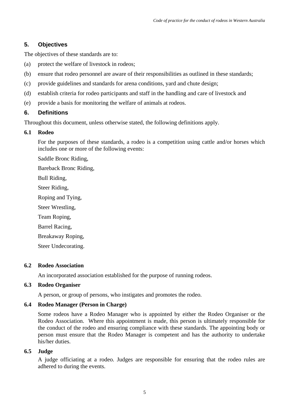### **5. Objectives**

The objectives of these standards are to:

- (a) protect the welfare of livestock in rodeos;
- (b) ensure that rodeo personnel are aware of their responsibilities as outlined in these standards;
- (c) provide guidelines and standards for arena conditions, yard and chute design;
- (d) establish criteria for rodeo participants and staff in the handling and care of livestock and
- (e) provide a basis for monitoring the welfare of animals at rodeos.

#### **6. Definitions**

Throughout this document, unless otherwise stated, the following definitions apply.

#### **6.1 Rodeo**

For the purposes of these standards, a rodeo is a competition using cattle and/or horses which includes one or more of the following events:

Saddle Bronc Riding,

Bareback Bronc Riding,

Bull Riding,

Steer Riding,

Roping and Tying,

Steer Wrestling,

Team Roping,

Barrel Racing,

Breakaway Roping,

Steer Undecorating.

#### **6.2 Rodeo Association**

An incorporated association established for the purpose of running rodeos.

#### **6.3 Rodeo Organiser**

A person, or group of persons, who instigates and promotes the rodeo.

#### **6.4 Rodeo Manager (Person in Charge)**

Some rodeos have a Rodeo Manager who is appointed by either the Rodeo Organiser or the Rodeo Association. Where this appointment is made, this person is ultimately responsible for the conduct of the rodeo and ensuring compliance with these standards. The appointing body or person must ensure that the Rodeo Manager is competent and has the authority to undertake his/her duties.

#### **6.5 Judge**

A judge officiating at a rodeo. Judges are responsible for ensuring that the rodeo rules are adhered to during the events.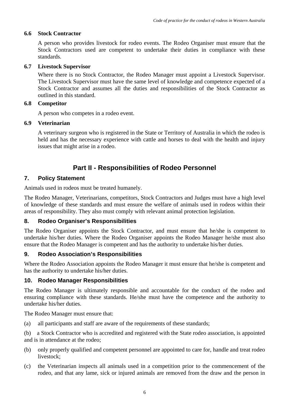#### **6.6 Stock Contractor**

A person who provides livestock for rodeo events. The Rodeo Organiser must ensure that the Stock Contractors used are competent to undertake their duties in compliance with these standards.

#### **6.7 Livestock Supervisor**

Where there is no Stock Contractor, the Rodeo Manager must appoint a Livestock Supervisor. The Livestock Supervisor must have the same level of knowledge and competence expected of a Stock Contractor and assumes all the duties and responsibilities of the Stock Contractor as outlined in this standard.

#### **6.8 Competitor**

A person who competes in a rodeo event.

#### **6.9 Veterinarian**

A veterinary surgeon who is registered in the State or Territory of Australia in which the rodeo is held and has the necessary experience with cattle and horses to deal with the health and injury issues that might arise in a rodeo.

# **Part II - Responsibilities of Rodeo Personnel**

### **7. Policy Statement**

Animals used in rodeos must be treated humanely.

The Rodeo Manager, Veterinarians, competitors, Stock Contractors and Judges must have a high level of knowledge of these standards and must ensure the welfare of animals used in rodeos within their areas of responsibility. They also must comply with relevant animal protection legislation.

#### **8. Rodeo Organiser's Responsibilities**

The Rodeo Organiser appoints the Stock Contractor, and must ensure that he/she is competent to undertake his/her duties. Where the Rodeo Organiser appoints the Rodeo Manager he/she must also ensure that the Rodeo Manager is competent and has the authority to undertake his/her duties.

#### **9. Rodeo Association's Responsibilities**

Where the Rodeo Association appoints the Rodeo Manager it must ensure that he/she is competent and has the authority to undertake his/her duties.

#### **10. Rodeo Manager Responsibilities**

The Rodeo Manager is ultimately responsible and accountable for the conduct of the rodeo and ensuring compliance with these standards. He/she must have the competence and the authority to undertake his/her duties.

The Rodeo Manager must ensure that:

(a) all participants and staff are aware of the requirements of these standards;

(b) a Stock Contractor who is accredited and registered with the State rodeo association, is appointed and is in attendance at the rodeo;

- (b) only properly qualified and competent personnel are appointed to care for, handle and treat rodeo livestock;
- (c) the Veterinarian inspects all animals used in a competition prior to the commencement of the rodeo, and that any lame, sick or injured animals are removed from the draw and the person in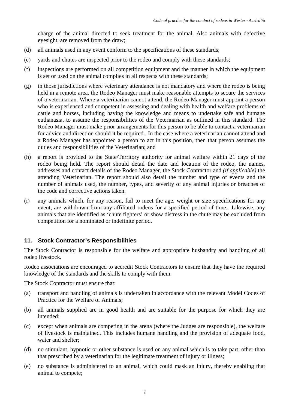charge of the animal directed to seek treatment for the animal. Also animals with defective eyesight, are removed from the draw;

- (d) all animals used in any event conform to the specifications of these standards;
- (e) yards and chutes are inspected prior to the rodeo and comply with these standards;
- (f) inspections are performed on all competition equipment and the manner in which the equipment is set or used on the animal complies in all respects with these standards;
- (g) in those jurisdictions where veterinary attendance is not mandatory and where the rodeo is being held in a remote area, the Rodeo Manager must make reasonable attempts to secure the services of a veterinarian. Where a veterinarian cannot attend, the Rodeo Manager must appoint a person who is experienced and competent in assessing and dealing with health and welfare problems of cattle and horses, including having the knowledge and means to undertake safe and humane euthanasia, to assume the responsibilities of the Veterinarian as outlined in this standard. The Rodeo Manager must make prior arrangements for this person to be able to contact a veterinarian for advice and direction should it be required. In the case where a veterinarian cannot attend and a Rodeo Manager has appointed a person to act in this position, then that person assumes the duties and responsibilities of the Veterinarian; and
- (h) a report is provided to the State/Territory authority for animal welfare within 21 days of the rodeo being held. The report should detail the date and location of the rodeo, the names, addresses and contact details of the Rodeo Manager, the Stock Contractor and *(if applicable)* the attending Veterinarian. The report should also detail the number and type of events and the number of animals used, the number, types, and severity of any animal injuries or breaches of the code and corrective actions taken.
- (i) any animals which, for any reason, fail to meet the age, weight or size specifications for any event, are withdrawn from any affiliated rodeos for a specified period of time. Likewise, any animals that are identified as 'chute fighters' or show distress in the chute may be excluded from competition for a nominated or indefinite period.

## **11. Stock Contractor's Responsibilities**

The Stock Contractor is responsible for the welfare and appropriate husbandry and handling of all rodeo livestock.

Rodeo associations are encouraged to accredit Stock Contractors to ensure that they have the required knowledge of the standards and the skills to comply with them.

The Stock Contractor must ensure that:

- (a) transport and handling of animals is undertaken in accordance with the relevant Model Codes of Practice for the Welfare of Animals;
- (b) all animals supplied are in good health and are suitable for the purpose for which they are intended;
- (c) except when animals are competing in the arena (where the Judges are responsible), the welfare of livestock is maintained. This includes humane handling and the provision of adequate food, water and shelter;
- (d) no stimulant, hypnotic or other substance is used on any animal which is to take part, other than that prescribed by a veterinarian for the legitimate treatment of injury or illness;
- (e) no substance is administered to an animal, which could mask an injury, thereby enabling that animal to compete;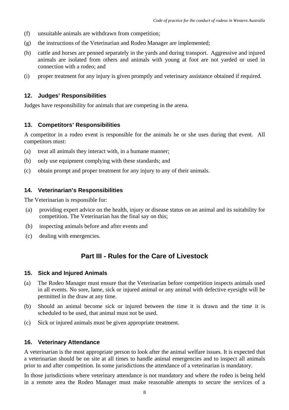- (f) unsuitable animals are withdrawn from competition;
- (g) the instructions of the Veterinarian and Rodeo Manager are implemented;
- (h) cattle and horses are penned separately in the yards and during transport. Aggressive and injured animals are isolated from others and animals with young at foot are not yarded or used in connection with a rodeo; and
- (i) proper treatment for any injury is given promptly and veterinary assistance obtained if required.

#### **12. Judges' Responsibilities**

Judges have responsibility for animals that are competing in the arena.

### **13. Competitors' Responsibilities**

A competitor in a rodeo event is responsible for the animals he or she uses during that event. All competitors must:

- (a) treat all animals they interact with, in a humane manner;
- (b) only use equipment complying with these standards; and
- (c) obtain prompt and proper treatment for any injury to any of their animals.

### **14. Veterinarian's Responsibilities**

The Veterinarian is responsible for:

- (a) providing expert advice on the health, injury or disease status on an animal and its suitability for competition. The Veterinarian has the final say on this;
- (b) inspecting animals before and after events and
- (c) dealing with emergencies.

# **Part III - Rules for the Care of Livestock**

#### **15. Sick and Injured Animals**

- (a) The Rodeo Manager must ensure that the Veterinarian before competition inspects animals used in all events. No sore, lame, sick or injured animal or any animal with defective eyesight will be permitted in the draw at any time.
- (b) Should an animal become sick or injured between the time it is drawn and the time it is scheduled to be used, that animal must not be used.
- (c) Sick or injured animals must be given appropriate treatment.

#### **16. Veterinary Attendance**

A veterinarian is the most appropriate person to look after the animal welfare issues. It is expected that a veterinarian should be on site at all times to handle animal emergencies and to inspect all animals prior to and after competition. In some jurisdictions the attendance of a veterinarian is mandatory.

In those jurisdictions where veterinary attendance is not mandatory and where the rodeo is being held in a remote area the Rodeo Manager must make reasonable attempts to secure the services of a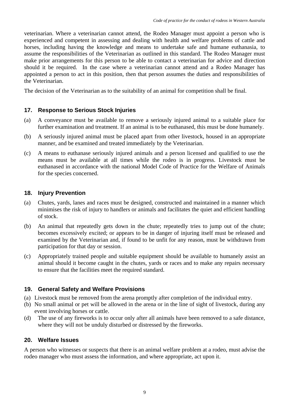veterinarian. Where a veterinarian cannot attend, the Rodeo Manager must appoint a person who is experienced and competent in assessing and dealing with health and welfare problems of cattle and horses, including having the knowledge and means to undertake safe and humane euthanasia, to assume the responsibilities of the Veterinarian as outlined in this standard. The Rodeo Manager must make prior arrangements for this person to be able to contact a veterinarian for advice and direction should it be required. In the case where a veterinarian cannot attend and a Rodeo Manager has appointed a person to act in this position, then that person assumes the duties and responsibilities of the Veterinarian.

The decision of the Veterinarian as to the suitability of an animal for competition shall be final.

### **17. Response to Serious Stock Injuries**

- (a) A conveyance must be available to remove a seriously injured animal to a suitable place for further examination and treatment. If an animal is to be euthanased, this must be done humanely.
- (b) A seriously injured animal must be placed apart from other livestock, housed in an appropriate manner, and be examined and treated immediately by the Veterinarian.
- (c) A means to euthanase seriously injured animals and a person licensed and qualified to use the means must be available at all times while the rodeo is in progress. Livestock must be euthanased in accordance with the national Model Code of Practice for the Welfare of Animals for the species concerned.

#### **18. Injury Prevention**

- (a) Chutes, yards, lanes and races must be designed, constructed and maintained in a manner which minimises the risk of injury to handlers or animals and facilitates the quiet and efficient handling of stock.
- (b) An animal that repeatedly gets down in the chute; repeatedly tries to jump out of the chute; becomes excessively excited; or appears to be in danger of injuring itself must be released and examined by the Veterinarian and, if found to be unfit for any reason, must be withdrawn from participation for that day or session.
- (c) Appropriately trained people and suitable equipment should be available to humanely assist an animal should it become caught in the chutes, yards or races and to make any repairs necessary to ensure that the facilities meet the required standard.

#### **19. General Safety and Welfare Provisions**

- (a) Livestock must be removed from the arena promptly after completion of the individual entry.
- (b) No small animal or pet will be allowed in the arena or in the line of sight of livestock, during any event involving horses or cattle.
- (d) The use of any fireworks is to occur only after all animals have been removed to a safe distance, where they will not be unduly disturbed or distressed by the fireworks.

#### **20. Welfare Issues**

A person who witnesses or suspects that there is an animal welfare problem at a rodeo, must advise the rodeo manager who must assess the information, and where appropriate, act upon it.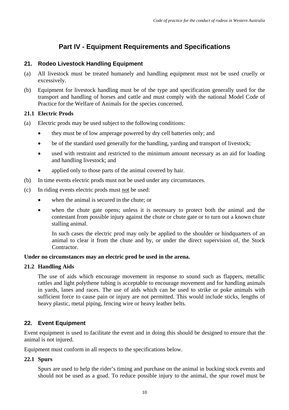# **Part IV - Equipment Requirements and Specifications**

#### **21. Rodeo Livestock Handling Equipment**

- (a) All livestock must be treated humanely and handling equipment must not be used cruelly or excessively.
- (b) Equipment for livestock handling must be of the type and specification generally used for the transport and handling of horses and cattle and must comply with the national Model Code of Practice for the Welfare of Animals for the species concerned.

#### **21.1 Electric Prods**

- (a) Electric prods may be used subject to the following conditions:
	- they must be of low amperage powered by dry cell batteries only; and
	- be of the standard used generally for the handling, yarding and transport of livestock;
	- used with restraint and restricted to the minimum amount necessary as an aid for loading and handling livestock; and
	- applied only to those parts of the animal covered by hair.
- (b) In time events electric prods must not be used under any circumstances*.*
- (c) In riding events electric prods must not be used:
	- when the animal is secured in the chute; or
	- when the chute gate opens; unless it is necessary to protect both the animal and the contestant from possible injury against the chute or chute gate or to turn out a known chute stalling animal.

In such cases the electric prod may only be applied to the shoulder or hindquarters of an animal to clear it from the chute and by, or under the direct supervision of, the Stock Contractor.

#### **Under no circumstances may an electric prod be used in the arena.**

#### **21.2 Handling Aids**

 The use of aids which encourage movement in response to sound such as flappers, metallic rattles and light polythene tubing is acceptable to encourage movement and for handling animals in yards, lanes and races. The use of aids which can be used to strike or poke animals with sufficient force to cause pain or injury are not permitted. This would include sticks, lengths of heavy plastic, metal piping, fencing wire or heavy leather belts.

#### **22. Event Equipment**

Event equipment is used to facilitate the event and in doing this should be designed to ensure that the animal is not injured.

Equipment must conform in all respects to the specifications below.

#### **22.1 Spurs**

Spurs are used to help the rider's timing and purchase on the animal in bucking stock events and should not be used as a goad. To reduce possible injury to the animal, the spur rowel must be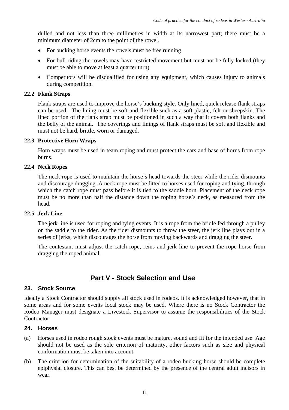dulled and not less than three millimetres in width at its narrowest part; there must be a minimum diameter of 2cm to the point of the rowel.

- For bucking horse events the rowels must be free running.
- For bull riding the rowels may have restricted movement but must not be fully locked (they must be able to move at least a quarter turn).
- Competitors will be disqualified for using any equipment, which causes injury to animals during competition.

#### **22.2 Flank Straps**

Flank straps are used to improve the horse's bucking style. Only lined, quick release flank straps can be used. The lining must be soft and flexible such as a soft plastic, felt or sheepskin. The lined portion of the flank strap must be positioned in such a way that it covers both flanks and the belly of the animal. The coverings and linings of flank straps must be soft and flexible and must not be hard, brittle, worn or damaged.

#### **22.3 Protective Horn Wraps**

Horn wraps must be used in team roping and must protect the ears and base of horns from rope burns.

#### **22.4 Neck Ropes**

The neck rope is used to maintain the horse's head towards the steer while the rider dismounts and discourage dragging. A neck rope must be fitted to horses used for roping and tying, through which the catch rope must pass before it is tied to the saddle horn. Placement of the neck rope must be no more than half the distance down the roping horse's neck, as measured from the head.

#### **22.5 Jerk Line**

The jerk line is used for roping and tying events. It is a rope from the bridle fed through a pulley on the saddle to the rider. As the rider dismounts to throw the steer, the jerk line plays out in a series of jerks, which discourages the horse from moving backwards and dragging the steer.

The contestant must adjust the catch rope, reins and jerk line to prevent the rope horse from dragging the roped animal.

# **Part V - Stock Selection and Use**

#### **23. Stock Source**

Ideally a Stock Contractor should supply all stock used in rodeos. It is acknowledged however, that in some areas and for some events local stock may be used. Where there is no Stock Contractor the Rodeo Manager must designate a Livestock Supervisor to assume the responsibilities of the Stock Contractor.

#### **24. Horses**

- (a) Horses used in rodeo rough stock events must be mature, sound and fit for the intended use. Age should not be used as the sole criterion of maturity, other factors such as size and physical conformation must be taken into account.
- (b) The criterion for determination of the suitability of a rodeo bucking horse should be complete epiphysial closure. This can best be determined by the presence of the central adult incisors in wear.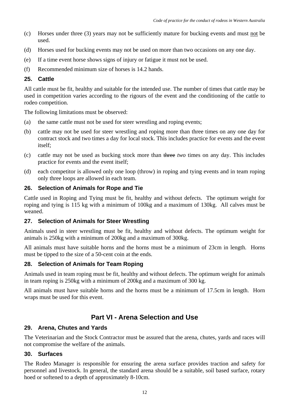- (c) Horses under three (3) years may not be sufficiently mature for bucking events and must not be used.
- (d) Horses used for bucking events may not be used on more than two occasions on any one day.
- (e) If a time event horse shows signs of injury or fatigue it must not be used.
- (f) Recommended minimum size of horses is 14.2 hands.

#### **25. Cattle**

All cattle must be fit, healthy and suitable for the intended use. The number of times that cattle may be used in competition varies according to the rigours of the event and the conditioning of the cattle to rodeo competition.

The following limitations must be observed:

- (a) the same cattle must not be used for steer wrestling and roping events;
- (b) cattle may not be used for steer wrestling and roping more than three times on any one day for contract stock and two times a day for local stock. This includes practice for events and the event itself;
- (c) cattle may not be used as bucking stock more than three *two* times on any day. This includes practice for events and the event itself;
- (d) each competitor is allowed only one loop (throw) in roping and tying events and in team roping only three loops are allowed in each team.

#### **26. Selection of Animals for Rope and Tie**

Cattle used in Roping and Tying must be fit, healthy and without defects. The optimum weight for roping and tying is 115 kg with a minimum of 100kg and a maximum of 130kg. All calves must be weaned.

#### **27. Selection of Animals for Steer Wrestling**

Animals used in steer wrestling must be fit, healthy and without defects. The optimum weight for animals is 250kg with a minimum of 200kg and a maximum of 300kg.

All animals must have suitable horns and the horns must be a minimum of 23cm in length. Horns must be tipped to the size of a 50-cent coin at the ends.

#### **28. Selection of Animals for Team Roping**

Animals used in team roping must be fit, healthy and without defects. The optimum weight for animals in team roping is 250kg with a minimum of 200kg and a maximum of 300 kg.

All animals must have suitable horns and the horns must be a minimum of 17.5cm in length. Horn wraps must be used for this event.

# **Part VI - Arena Selection and Use**

#### **29. Arena, Chutes and Yards**

The Veterinarian and the Stock Contractor must be assured that the arena, chutes, yards and races will not compromise the welfare of the animals.

#### **30. Surfaces**

The Rodeo Manager is responsible for ensuring the arena surface provides traction and safety for personnel and livestock. In general, the standard arena should be a suitable, soil based surface, rotary hoed or softened to a depth of approximately 8-10cm.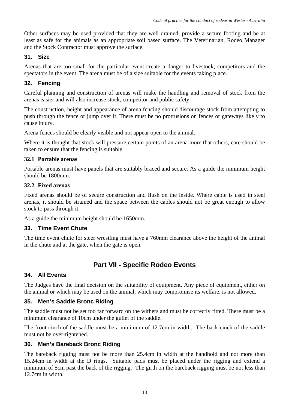Other surfaces may be used provided that they are well drained, provide a secure footing and be at least as safe for the animals as an appropriate soil based surface. The Veterinarian, Rodeo Manager and the Stock Contractor must approve the surface.

### **31. Size**

Arenas that are too small for the particular event create a danger to livestock, competitors and the spectators in the event. The arena must be of a size suitable for the events taking place.

### **32. Fencing**

Careful planning and construction of arenas will make the handling and removal of stock from the arenas easier and will also increase stock, competitor and public safety.

The construction, height and appearance of arena fencing should discourage stock from attempting to push through the fence or jump over it. There must be no protrusions on fences or gateways likely to cause injury.

Arena fences should be clearly visible and not appear open to the animal.

Where it is thought that stock will pressure certain points of an arena more that others, care should be taken to ensure that the fencing is suitable.

#### **32.1 Portable arenas**

Portable arenas must have panels that are suitably braced and secure. As a guide the minimum height should be 1800mm.

#### **32.2 Fixed arenas**

Fixed arenas should be of secure construction and flush on the inside. Where cable is used in steel arenas, it should be strained and the space between the cables should not be great enough to allow stock to pass through it.

As a guide the minimum height should be 1650mm.

#### **33. Time Event Chute**

The time event chute for steer wrestling must have a 760mm clearance above the height of the animal in the chute and at the gate, when the gate is open.

# **Part VII - Specific Rodeo Events**

#### **34. All Events**

The Judges have the final decision on the suitability of equipment. Any piece of equipment, either on the animal or which may be used on the animal, which may compromise its welfare, is not allowed.

#### **35. Men's Saddle Bronc Riding**

The saddle must not be set too far forward on the withers and must be correctly fitted. There must be a minimum clearance of 10cm under the gullet of the saddle.

The front cinch of the saddle must be a minimum of 12.7cm in width. The back cinch of the saddle must not be over-tightened.

#### **36. Men's Bareback Bronc Riding**

The bareback rigging must not be more than 25.4cm in width at the handhold and not more than 15.24cm in width at the D rings. Suitable pads must be placed under the rigging and extend a minimum of 5cm past the back of the rigging. The girth on the bareback rigging must be not less than 12.7cm in width.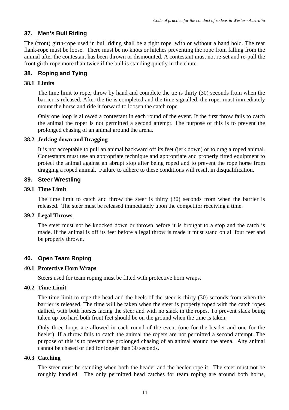#### **37. Men's Bull Riding**

The (front) girth-rope used in bull riding shall be a tight rope, with or without a hand hold. The rear flank-rope must be loose. There must be no knots or hitches preventing the rope from falling from the animal after the contestant has been thrown or dismounted. A contestant must not re-set and re-pull the front girth-rope more than twice if the bull is standing quietly in the chute.

### **38. Roping and Tying**

#### **38.1 Limits**

The time limit to rope, throw by hand and complete the tie is thirty (30) seconds from when the barrier is released. After the tie is completed and the time signalled, the roper must immediately mount the horse and ride it forward to loosen the catch rope.

Only one loop is allowed a contestant in each round of the event. If the first throw fails to catch the animal the roper is not permitted a second attempt. The purpose of this is to prevent the prolonged chasing of an animal around the arena.

#### **38.2 Jerking down and Dragging**

It is not acceptable to pull an animal backward off its feet (jerk down) or to drag a roped animal. Contestants must use an appropriate technique and appropriate and properly fitted equipment to protect the animal against an abrupt stop after being roped and to prevent the rope horse from dragging a roped animal. Failure to adhere to these conditions will result in disqualification.

#### **39. Steer Wrestling**

#### **39.1 Time Limit**

The time limit to catch and throw the steer is thirty (30) seconds from when the barrier is released. The steer must be released immediately upon the competitor receiving a time.

#### **39.2 Legal Throws**

The steer must not be knocked down or thrown before it is brought to a stop and the catch is made. If the animal is off its feet before a legal throw is made it must stand on all four feet and be properly thrown.

#### **40. Open Team Roping**

#### **40.1 Protective Horn Wraps**

Steers used for team roping must be fitted with protective horn wraps.

#### **40.2 Time Limit**

The time limit to rope the head and the heels of the steer is thirty (30) seconds from when the barrier is released. The time will be taken when the steer is properly roped with the catch ropes dallied, with both horses facing the steer and with no slack in the ropes. To prevent slack being taken up too hard both front feet should be on the ground when the time is taken.

Only three loops are allowed in each round of the event (one for the header and one for the heeler). If a throw fails to catch the animal the ropers are not permitted a second attempt. The purpose of this is to prevent the prolonged chasing of an animal around the arena. Any animal cannot be chased or tied for longer than 30 seconds.

#### **40.3 Catching**

The steer must be standing when both the header and the heeler rope it. The steer must not be roughly handled. The only permitted head catches for team roping are around both horns,